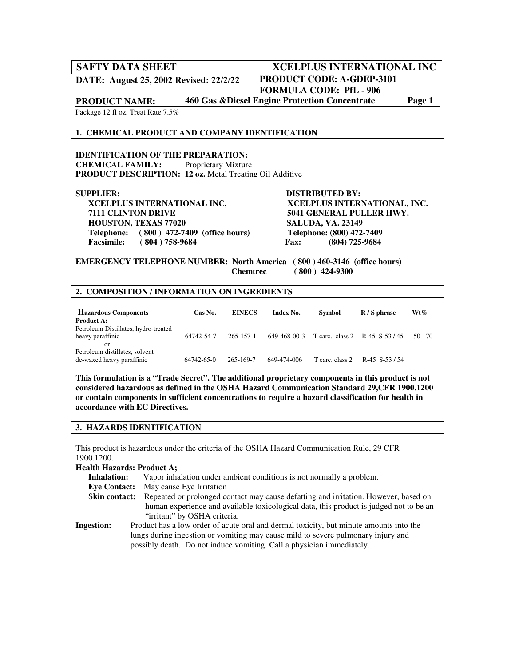## **SAFTY DATA SHEET MODEL AND ACCELPLUS INTERNATIONAL INC**

**DATE: August 25, 2002 Revised: 22/2/22**

# **PRODUCT CODE: A-GDEP-3101**

 **FORMULA CODE: PfL - 906** 

**PRODUCT NAME: 460 Gas &Diesel Engine Protection Concentrate Page 1** 

Package 12 fl oz. Treat Rate 7.5%

#### **1. CHEMICAL PRODUCT AND COMPANY IDENTIFICATION**

**IDENTIFICATION OF THE PREPARATION: CHEMICAL FAMILY:** Proprietary Mixture **PRODUCT DESCRIPTION: 12 oz.** Metal Treating Oil Additive

 **XCELPLUS INTERNATIONAL INC, XCELPLUS INTERNATIONAL, INC. 7111 CLINTON DRIVE 5041 GENERAL PULLER HWY. HOUSTON, TEXAS 77020 SALUDA, VA. 23149 Telephone:** (800) 472-7409 (office hours) Telephone: (800) 472-7409<br>Facsimile: (804) 758-9684 **Fax:** (804) 725-9684 **Facsimile:** (804) 758-9684 **Fax:** 

**SUPPLIER: DISTRIBUTED BY:** 

**EMERGENCY TELEPHONE NUMBER: North America ( 800 ) 460-3146 (office hours) Chemtrec ( 800 ) 424-9300** 

#### **2. COMPOSITION / INFORMATION ON INGREDIENTS**

| <b>Hazardous Components</b><br><b>Product A:</b>               | Cas No.    | <b>EINECS</b>   | <b>Index No.</b> | <b>Symbol</b>                 | $R/S$ phrase | $Wt\%$    |
|----------------------------------------------------------------|------------|-----------------|------------------|-------------------------------|--------------|-----------|
| Petroleum Distillates, hydro-treated<br>heavy paraffinic<br>or | 64742-54-7 | $265 - 157 - 1$ | 649-468-00-3     | T carc class 2 R-45 S-53 / 45 |              | $50 - 70$ |
| Petroleum distillates, solvent<br>de-waxed heavy paraffinic    | 64742-65-0 | 265-169-7       | 649-474-006      | T carc. class 2               | R-45 S-53/54 |           |

**This formulation is a "Trade Secret". The additional proprietary components in this product is not considered hazardous as defined in the OSHA Hazard Communication Standard 29,CFR 1900.1200 or contain components in sufficient concentrations to require a hazard classification for health in accordance with EC Directives.** 

#### **3. HAZARDS IDENTIFICATION**

This product is hazardous under the criteria of the OSHA Hazard Communication Rule, 29 CFR 1900.1200.

#### **Health Hazards: Product A;**

 **Inhalation:** Vapor inhalation under ambient conditions is not normally a problem. **Eye Contact:** May cause Eye Irritation Skin contact: Repeated or prolonged contact may cause defatting and irritation. However, based on human experience and available toxicological data, this product is judged not to be an "irritant" by OSHA criteria. **Ingestion:** Product has a low order of acute oral and dermal toxicity, but minute amounts into the lungs during ingestion or vomiting may cause mild to severe pulmonary injury and possibly death. Do not induce vomiting. Call a physician immediately.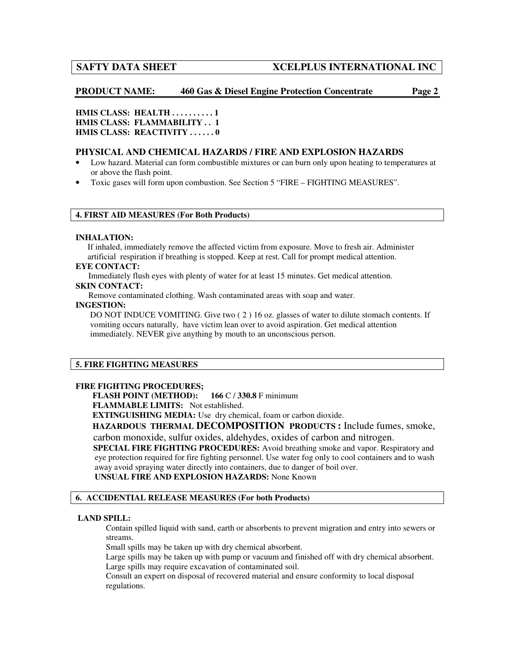## **SAFTY DATA SHEET MODEL INTERNATIONAL INC**

**PRODUCT NAME: 460 Gas & Diesel Engine Protection Concentrate Page 2** 

**HMIS CLASS: HEALTH . . . . . . . . . . 1 HMIS CLASS: FLAMMABILITY . . 1 HMIS CLASS: REACTIVITY ......0** 

## **PHYSICAL AND CHEMICAL HAZARDS / FIRE AND EXPLOSION HAZARDS**

- Low hazard. Material can form combustible mixtures or can burn only upon heating to temperatures at or above the flash point.
- Toxic gases will form upon combustion. See Section 5 "FIRE FIGHTING MEASURES".

#### **4. FIRST AID MEASURES (For Both Products)**

#### **INHALATION:**

If inhaled, immediately remove the affected victim from exposure. Move to fresh air. Administer artificial respiration if breathing is stopped. Keep at rest. Call for prompt medical attention.

#### **EYE CONTACT:**

Immediately flush eyes with plenty of water for at least 15 minutes. Get medical attention.

## **SKIN CONTACT:**

Remove contaminated clothing. Wash contaminated areas with soap and water.

#### **INGESTION:**

DO NOT INDUCE VOMITING. Give two (2) 16 oz. glasses of water to dilute stomach contents. If vomiting occurs naturally, have victim lean over to avoid aspiration. Get medical attention immediately. NEVER give anything by mouth to an unconscious person.

### **5. FIRE FIGHTING MEASURES**

### **FIRE FIGHTING PROCEDURES;**

 **FLASH POINT (METHOD): 166** C / **330.8** F minimum

 **FLAMMABLE LIMITS:** Not established.

 **EXTINGUISHING MEDIA:** Use dry chemical, foam or carbon dioxide.

**HAZARDOUS THERMAL DECOMPOSITION PRODUCTS :** Include fumes, smoke,

carbon monoxide, sulfur oxides, aldehydes, oxides of carbon and nitrogen.

 **SPECIAL FIRE FIGHTING PROCEDURES:** Avoid breathing smoke and vapor. Respiratory and eye protection required for fire fighting personnel. Use water fog only to cool containers and to wash away avoid spraying water directly into containers, due to danger of boil over.

**UNSUAL FIRE AND EXPLOSION HAZARDS:** None Known

#### **6. ACCIDENTIAL RELEASE MEASURES (For both Products)**

#### **LAND SPILL:**

Contain spilled liquid with sand, earth or absorbents to prevent migration and entry into sewers or streams.

Small spills may be taken up with dry chemical absorbent.

Large spills may be taken up with pump or vacuum and finished off with dry chemical absorbent. Large spills may require excavation of contaminated soil.

Consult an expert on disposal of recovered material and ensure conformity to local disposal regulations.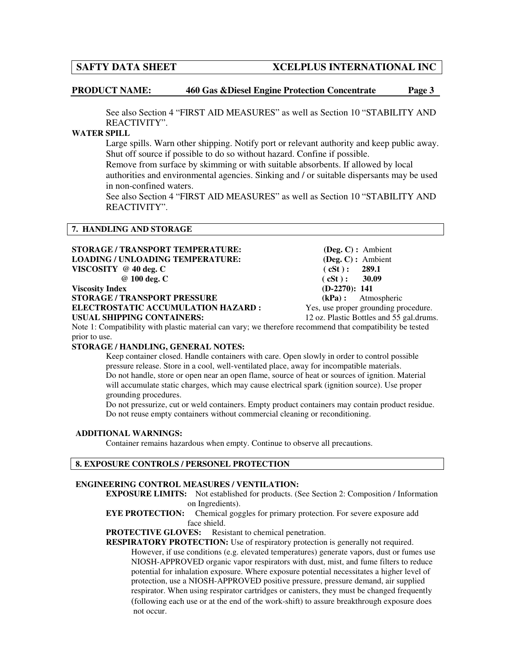## **SAFTY DATA SHEET MODEL INTERNATIONAL INC**

**PRODUCT NAME: 460 Gas &Diesel Engine Protection Concentrate Page 3** 

See also Section 4 "FIRST AID MEASURES" as well as Section 10 "STABILITY AND REACTIVITY".

#### **WATER SPILL**

Large spills. Warn other shipping. Notify port or relevant authority and keep public away. Shut off source if possible to do so without hazard. Confine if possible.

 Remove from surface by skimming or with suitable absorbents. If allowed by local authorities and environmental agencies. Sinking and / or suitable dispersants may be used in non-confined waters.

See also Section 4 "FIRST AID MEASURES" as well as Section 10 "STABILITY AND REACTIVITY".

#### **7. HANDLING AND STORAGE**

| STORAGE / TRANSPORT TEMPERATURE:                                                                          | $($ Deg. C $)$ : Ambient                 |
|-----------------------------------------------------------------------------------------------------------|------------------------------------------|
| <b>LOADING / UNLOADING TEMPERATURE:</b>                                                                   | $(\text{Deg. C}):$ Ambient               |
| VISCOSITY $@$ 40 deg. C                                                                                   | (cSt): 289.1                             |
| $@100$ deg. C                                                                                             | (cSt): 30.09                             |
| <b>Viscosity Index</b>                                                                                    | $(D-2270): 141$                          |
| <b>STORAGE / TRANSPORT PRESSURE</b>                                                                       | $(kPa)$ : Atmospheric                    |
| ELECTROSTATIC ACCUMULATION HAZARD :                                                                       | Yes, use proper grounding procedure.     |
| <b>USUAL SHIPPING CONTAINERS:</b>                                                                         | 12 oz. Plastic Bottles and 55 gal.drums. |
| Note 1: Compatibility with plastic material can vary: we therefore recommend that compatibility be tested |                                          |

Note 1: Compatibility with plastic material can vary; we therefore recommend that compatibility be tested prior to use.

### **STORAGE / HANDLING, GENERAL NOTES:**

Keep container closed. Handle containers with care. Open slowly in order to control possible pressure release. Store in a cool, well-ventilated place, away for incompatible materials. Do not handle, store or open near an open flame, source of heat or sources of ignition. Material will accumulate static charges, which may cause electrical spark (ignition source). Use proper grounding procedures.

Do not pressurize, cut or weld containers. Empty product containers may contain product residue. Do not reuse empty containers without commercial cleaning or reconditioning.

#### **ADDITIONAL WARNINGS:**

Container remains hazardous when empty. Continue to observe all precautions.

### **8. EXPOSURE CONTROLS / PERSONEL PROTECTION**

#### **ENGINEERING CONTROL MEASURES / VENTILATION:**

**EXPOSURE LIMITS:** Not established for products. (See Section 2: Composition / Information on Ingredients).<br>**EYE PROTECTION:** Chemical gog

Chemical goggles for primary protection. For severe exposure add face shield.

## **PROTECTIVE GLOVES:** Resistant to chemical penetration.

**RESPIRATORY PROTECTION:** Use of respiratory protection is generally not required. However, if use conditions (e.g. elevated temperatures) generate vapors, dust or fumes use NIOSH-APPROVED organic vapor respirators with dust, mist, and fume filters to reduce potential for inhalation exposure. Where exposure potential necessitates a higher level of protection, use a NIOSH-APPROVED positive pressure, pressure demand, air supplied respirator. When using respirator cartridges or canisters, they must be changed frequently (following each use or at the end of the work-shift) to assure breakthrough exposure does not occur.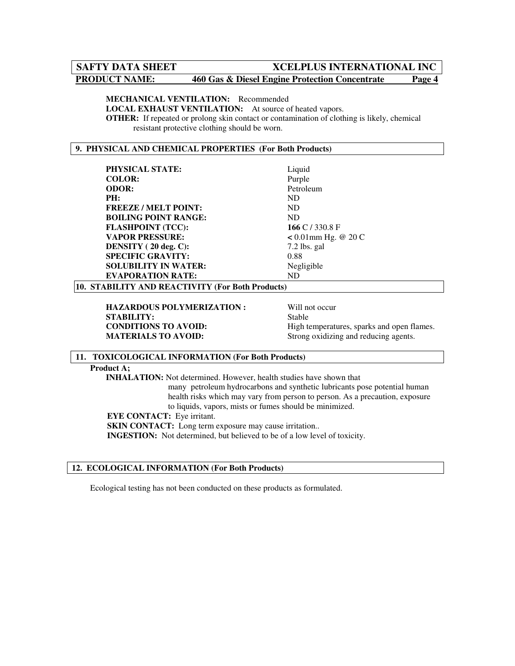## **SAFTY DATA SHEET MODE ACCELPLUS INTERNATIONAL INC**

## **PRODUCT NAME:** 460 Gas & Diesel Engine Protection Concentrate Page 4

#### **MECHANICAL VENTILATION:** Recommended

**LOCAL EXHAUST VENTILATION:** At source of heated vapors.

**OTHER:** If repeated or prolong skin contact or contamination of clothing is likely, chemical resistant protective clothing should be worn.

### **9. PHYSICAL AND CHEMICAL PROPERTIES (For Both Products)**

| <b>PHYSICAL STATE:</b>                           | Liquid                 |  |  |  |  |
|--------------------------------------------------|------------------------|--|--|--|--|
| <b>COLOR:</b>                                    | Purple                 |  |  |  |  |
| <b>ODOR:</b>                                     | Petroleum              |  |  |  |  |
| PH:                                              | <b>ND</b>              |  |  |  |  |
| <b>FREEZE/MELT POINT:</b>                        | <b>ND</b>              |  |  |  |  |
| <b>BOILING POINT RANGE:</b>                      | <b>ND</b>              |  |  |  |  |
| <b>FLASHPOINT (TCC):</b>                         | 166 C $/$ 330.8 F      |  |  |  |  |
| <b>VAPOR PRESSURE:</b>                           | $< 0.01$ mm Hg. @ 20 C |  |  |  |  |
| DENSITY (20 deg. C):                             | $7.2$ lbs. gal         |  |  |  |  |
| <b>SPECIFIC GRAVITY:</b>                         | 0.88                   |  |  |  |  |
| <b>SOLUBILITY IN WATER:</b>                      | Negligible             |  |  |  |  |
| <b>EVAPORATION RATE:</b>                         | <b>ND</b>              |  |  |  |  |
| 10. STABILITY AND REACTIVITY (For Both Products) |                        |  |  |  |  |

**HAZARDOUS POLYMERIZATION :** Will not occur **STABILITY:** Stable

**CONDITIONS TO AVOID:** High temperatures, sparks and open flames.<br> **MATERIALS TO AVOID:** Strong oxidizing and reducing agents. Strong oxidizing and reducing agents.

#### **11. TOXICOLOGICAL INFORMATION (For Both Products)**

#### **Product A;**

**INHALATION:** Not determined. However, health studies have shown that many petroleum hydrocarbons and synthetic lubricants pose potential human health risks which may vary from person to person. As a precaution, exposure to liquids, vapors, mists or fumes should be minimized.

**EYE CONTACT:** Eye irritant.

**SKIN CONTACT:** Long term exposure may cause irritation..

**INGESTION:** Not determined, but believed to be of a low level of toxicity.

### **12. ECOLOGICAL INFORMATION (For Both Products)**

Ecological testing has not been conducted on these products as formulated.